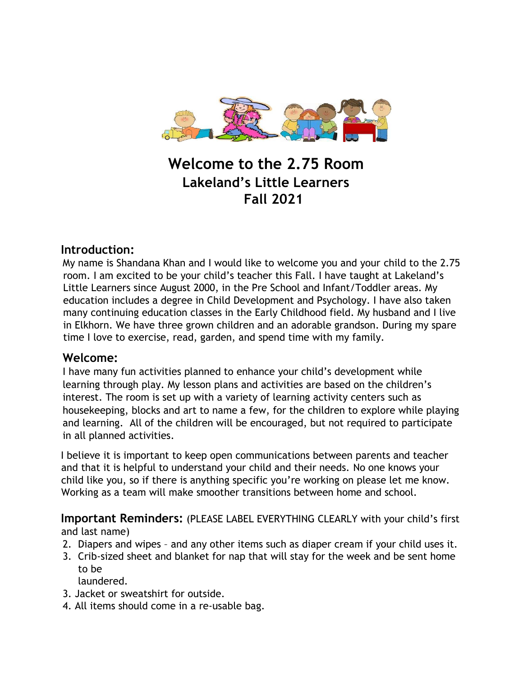

# **Welcome to the 2.75 Room Lakeland's Little Learners Fall 2021**

# **Introduction:**

My name is Shandana Khan and I would like to welcome you and your child to the 2.75 room. I am excited to be your child's teacher this Fall. I have taught at Lakeland's Little Learners since August 2000, in the Pre School and Infant/Toddler areas. My education includes a degree in Child Development and Psychology. I have also taken many continuing education classes in the Early Childhood field. My husband and I live in Elkhorn. We have three grown children and an adorable grandson. During my spare time I love to exercise, read, garden, and spend time with my family.

#### **Welcome:**

I have many fun activities planned to enhance your child's development while learning through play. My lesson plans and activities are based on the children's interest. The room is set up with a variety of learning activity centers such as housekeeping, blocks and art to name a few, for the children to explore while playing and learning. All of the children will be encouraged, but not required to participate in all planned activities.

I believe it is important to keep open communications between parents and teacher and that it is helpful to understand your child and their needs. No one knows your child like you, so if there is anything specific you're working on please let me know. Working as a team will make smoother transitions between home and school.

**Important Reminders:** (PLEASE LABEL EVERYTHING CLEARLY with your child's first and last name)

- 2. Diapers and wipes and any other items such as diaper cream if your child uses it.
- 3. Crib-sized sheet and blanket for nap that will stay for the week and be sent home to be

laundered.

- 3. Jacket or sweatshirt for outside.
- 4. All items should come in a re-usable bag.